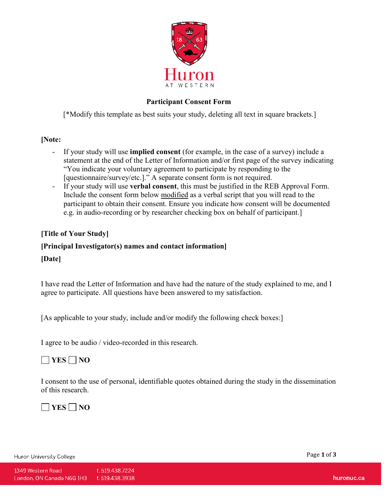

### **Participant Consent Form**

[\*Modify this template as best suits your study, deleting all text in square brackets.]

#### **[Note:**

- If your study will use **implied consent** (for example, in the case of a survey) include a statement at the end of the Letter of Information and/or first page of the survey indicating "You indicate your voluntary agreement to participate by responding to the [questionnaire/survey/etc.]." A separate consent form is not required.
- If your study will use **verbal consent**, this must be justified in the REB Approval Form. Include the consent form below modified as a verbal script that you will read to the participant to obtain their consent. Ensure you indicate how consent will be documented e.g. in audio-recording or by researcher checking box on behalf of participant.]

### **[Title of Your Study]**

## **[Principal Investigator(s) names and contact information]**

#### **[Date]**

I have read the Letter of Information and have had the nature of the study explained to me, and I agree to participate. All questions have been answered to my satisfaction.

[As applicable to your study, include and/or modify the following check boxes:]

I agree to be audio / video-recorded in this research.

# **YES NO**

I consent to the use of personal, identifiable quotes obtained during the study in the dissemination of this research.

**YES NO**

Huron University College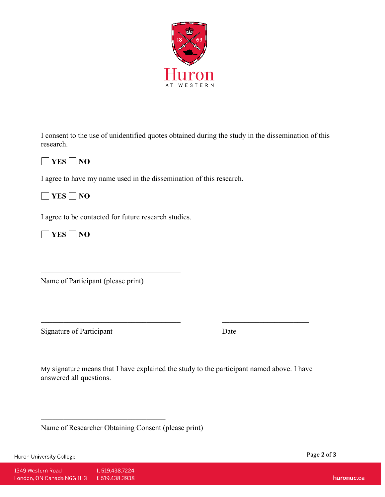

I consent to the use of unidentified quotes obtained during the study in the dissemination of this research.



I agree to have my name used in the dissemination of this research.

**YES NO**

I agree to be contacted for future research studies.

**YES NO**

Name of Participant (please print)

Signature of Participant Date

My signature means that I have explained the study to the participant named above. I have answered all questions.

 $\_$  , and the contribution of the contribution of  $\mathcal{L}_\mathcal{A}$ 

Name of Researcher Obtaining Consent (please print)

Huron University College

Page **2** of **3**